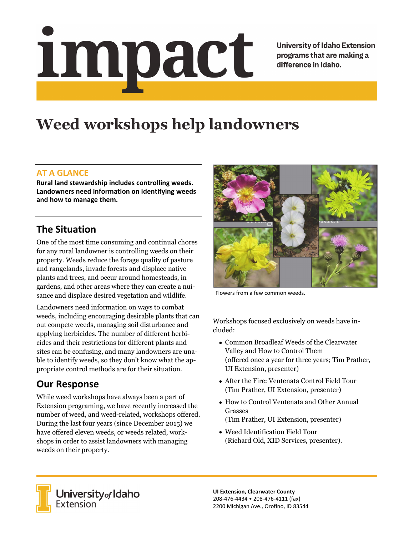# Impact

**University of Idaho Extension** programs that are making a difference in Idaho.

# **Weed workshops help landowners**

### **AT A GLANCE**

**Rural land stewardship includes controlling weeds. Landowners need information on identifying weeds and how to manage them.** 

### **The Situation**

One of the most time consuming and continual chores for any rural landowner is controlling weeds on their property. Weeds reduce the forage quality of pasture and rangelands, invade forests and displace native plants and trees, and occur around homesteads, in gardens, and other areas where they can create a nuisance and displace desired vegetation and wildlife.

Landowners need information on ways to combat weeds, including encouraging desirable plants that can out compete weeds, managing soil disturbance and applying herbicides. The number of different herbicides and their restrictions for different plants and sites can be confusing, and many landowners are unable to identify weeds, so they don't know what the appropriate control methods are for their situation.

### **Our Response**

While weed workshops have always been a part of Extension programing, we have recently increased the number of weed, and weed-related, workshops offered. During the last four years (since December 2015) we have offered eleven weeds, or weeds related, workshops in order to assist landowners with managing weeds on their property.



Flowers from a few common weeds.

Workshops focused exclusively on weeds have included:

- Common Broadleaf Weeds of the Clearwater Valley and How to Control Them (offered once a year for three years; Tim Prather, UI Extension, presenter)
- After the Fire: Ventenata Control Field Tour (Tim Prather, UI Extension, presenter)
- How to Control Ventenata and Other Annual Grasses (Tim Prather, UI Extension, presenter)
- Weed Identification Field Tour (Richard Old, XID Services, presenter).



**University** of Idaho<br>Extension

**UI Extension, Clearwater County**  208‐476‐4434 • 208‐476‐4111 (fax) 2200 Michigan Ave., Orofino, ID 83544